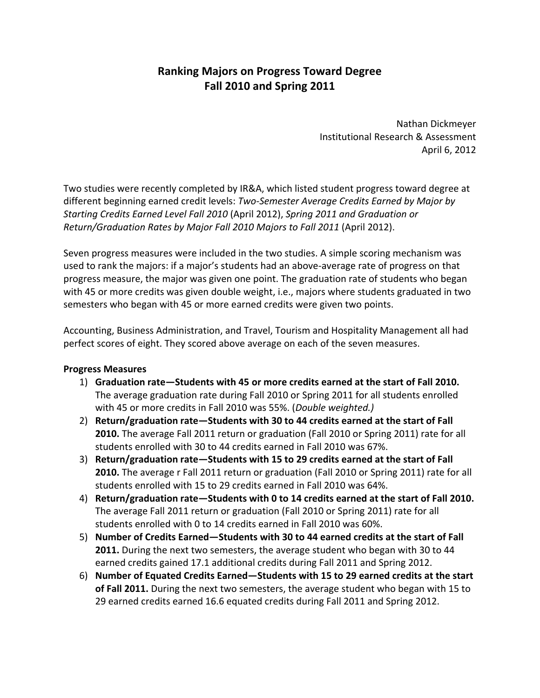## **Ranking Majors on Progress Toward Degree Fall 2010 and Spring 2011**

 Nathan Dickmeyer Institutional Research & Assessment April 6, 2012

 Two studies were recently completed by IR&A, which listed student progress toward degree at  different beginning earned credit levels: *Two‐Semester Average Credits Earned by Major by Starting Credits Earned Level Fall 2010* (April 2012), *Spring 2011 and Graduation or Return/Graduation Rates by Major Fall 2010 Majors to Fall 2011* (April 2012).

 Seven progress measures were included in the two studies. A simple scoring mechanism was used to rank the majors: if a major's students had an above‐average rate of progress on that progress measure, the major was given one point. The graduation rate of students who began with 45 or more credits was given double weight, i.e., majors where students graduated in two semesters who began with 45 or more earned credits were given two points.

 Accounting, Business Administration, and Travel, Tourism and Hospitality Management all had perfect scores of eight. They scored above average on each of the seven measures.

## **Progress Measures**

- 1) **Graduation rate—Students with 45 or more credits earned at the start of Fall 2010.** The average graduation rate during Fall 2010 or Spring 2011 for all students enrolled with 45 or more credits in Fall 2010 was 55%. (*Double weighted.)*
- 2) **Return/graduation rate—Students with 30 to 44 credits earned at the start of Fall 2010.** The average Fall 2011 return or graduation (Fall 2010 or Spring 2011) rate for all students enrolled with 30 to 44 credits earned in Fall 2010 was 67%.
- 3) **Return/graduation rate—Students with 15 to 29 credits earned at the start of Fall 2010.** The average r Fall 2011 return or graduation (Fall 2010 or Spring 2011) rate for all students enrolled with 15 to 29 credits earned in Fall 2010 was 64%.
- 4) **Return/graduation rate—Students with 0 to 14 credits earned at the start of Fall 2010.** The average Fall 2011 return or graduation (Fall 2010 or Spring 2011) rate for all students enrolled with 0 to 14 credits earned in Fall 2010 was 60%.
- 5) Number of Credits Earned—Students with 30 to 44 earned credits at the start of Fall **2011.** During the next two semesters, the average student who began with 30 to 44 earned credits gained 17.1 additional credits during Fall 2011 and Spring 2012.
- 6) Number of Equated Credits Earned—Students with 15 to 29 earned credits at the start  **of Fall 2011.** During the next two semesters, the average student who began with 15 to 29 earned credits earned 16.6 equated credits during Fall 2011 and Spring 2012.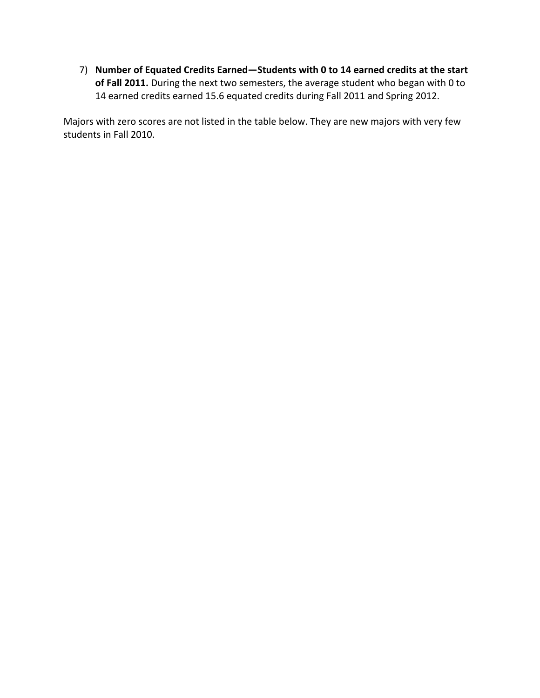7) Number of Equated Credits Earned—Students with 0 to 14 earned credits at the start  **of Fall 2011.** During the next two semesters, the average student who began with 0 to 14 earned credits earned 15.6 equated credits during Fall 2011 and Spring 2012.

 Majors with zero scores are not listed in the table below. They are new majors with very few students in Fall 2010.